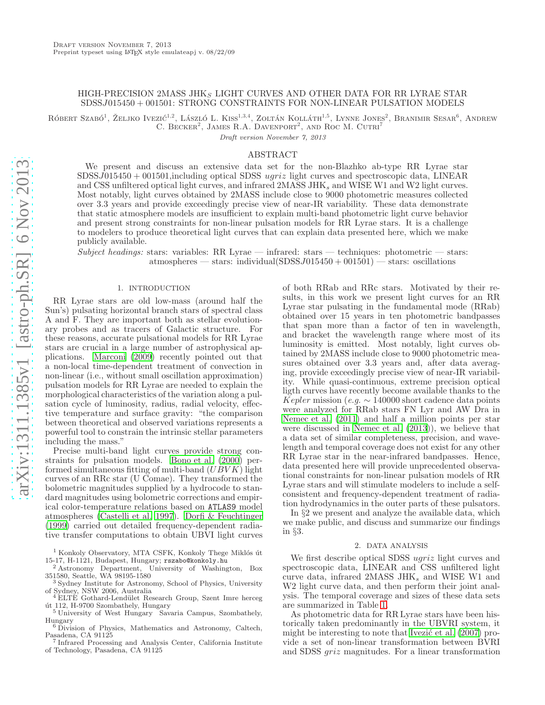# HIGH-PRECISION 2MASS JHK<sub>S</sub> LIGHT CURVES AND OTHER DATA FOR RR LYRAE STAR SDSSJ015450 + 001501: STRONG CONSTRAINTS FOR NON-LINEAR PULSATION MODELS

RÓBERT SZABÓ<sup>1</sup>, ŽELJKO IVEZIĆ<sup>1,2</sup>, LÁSZLÓ L. KISS<sup>1,3,4</sup>, ZOLTÁN KOLLÁTH<sup>1,5</sup>, LYNNE JONES<sup>2</sup>, BRANIMIR SESAR<sup>6</sup>, ANDREW C. BECKER<sup>2</sup>, JAMES R.A. DAVENPORT<sup>2</sup>, AND ROC M. CUTRI<sup>7</sup>

Draft version November 7, 2013

#### ABSTRACT

We present and discuss an extensive data set for the non-Blazhko ab-type RR Lyrae star  $S$ DSS $J$ 015450 + 001501, including optical SDSS ugriz light curves and spectroscopic data, LINEAR and CSS unfiltered optical light curves, and infrared 2MASS JHK<sub>s</sub> and WISE W1 and W2 light curves. Most notably, light curves obtained by 2MASS include close to 9000 photometric measures collected over 3.3 years and provide exceedingly precise view of near-IR variability. These data demonstrate that static atmosphere models are insufficient to explain multi-band photometric light curve behavior and present strong constraints for non-linear pulsation models for RR Lyrae stars. It is a challenge to modelers to produce theoretical light curves that can explain data presented here, which we make publicly available.

*Subject headings:* stars: variables: RR Lyrae — infrared: stars — techniques: photometric — stars:  $atmospheres$   $-$  stars: individual(SDSSJ015450 + 001501)  $-$  stars: oscillations

#### 1. INTRODUCTION

RR Lyrae stars are old low-mass (around half the Sun's) pulsating horizontal branch stars of spectral class A and F. They are important both as stellar evolutionary probes and as tracers of Galactic structure. For these reasons, accurate pulsational models for RR Lyrae stars are crucial in a large number of astrophysical applications. [Marconi \(2009\)](#page-6-0) recently pointed out that a non-local time-dependent treatment of convection in non-linear (i.e., without small oscillation approximation) pulsation models for RR Lyrae are needed to explain the morphological characteristics of the variation along a pulsation cycle of luminosity, radius, radial velocity, effective temperature and surface gravity: "the comparison between theoretical and observed variations represents a powerful tool to constrain the intrinsic stellar parameters including the mass."

Precise multi-band light curves provide strong constraints for pulsation models. [Bono et al. \(2000\)](#page-6-1) performed simultaneous fitting of multi-band  $(UBVK)$  light curves of an RRc star (U Comae). They transformed the bolometric magnitudes supplied by a hydrocode to standard magnitudes using bolometric corrections and empirical color-temperature relations based on ATLAS9 model atmospheres [\(Castelli et al. 1997\)](#page-6-2). [Dorfi & Feuchtinger](#page-6-3) [\(1999\)](#page-6-3) carried out detailed frequency-dependent radiative transfer computations to obtain UBVI light curves

- $^1$  Konkoly Observatory, MTA CSFK, Konkoly Thege Miklós út 15-17, H-1121, Budapest, Hungary; rszabo@konkoly.hu
- <sup>2</sup> Astronomy Department, University of Washington, Box 351580, Seattle, WA 98195-1580
- <sup>3</sup> Sydney Institute for Astronomy, School of Physics, University
- of Sydney, NSW 2006, Australia<br><sup>4</sup> ELTE Gothard-Lendület Research Group, Szent Imre herceg ´ut 112, H-9700 Szombathely, Hungary <sup>5</sup> University of West Hungary Savaria Campus, Szombathely,
- Hungary
- <sup>6</sup> Division of Physics, Mathematics and Astronomy, Caltech, Pasadena, CA 91125 7 Infrared Processing and Analysis Center, California Institute
- of Technology, Pasadena, CA 91125

of both RRab and RRc stars. Motivated by their results, in this work we present light curves for an RR Lyrae star pulsating in the fundamental mode (RRab) obtained over 15 years in ten photometric bandpasses that span more than a factor of ten in wavelength, and bracket the wavelength range where most of its luminosity is emitted. Most notably, light curves obtained by 2MASS include close to 9000 photometric measures obtained over 3.3 years and, after data averaging, provide exceedingly precise view of near-IR variability. While quasi-continuous, extreme precision optical ligth curves have recently become available thanks to the Kepler mission (*e.g.*  $\sim$  140000 short cadence data points were analyzed for RRab stars FN Lyr and AW Dra in [Nemec et al. \(2011\)](#page-6-4) and half a million points per star were discussed in [Nemec et al. \(2013\)](#page-6-5)), we believe that a data set of similar completeness, precision, and wavelength and temporal coverage does not exist for any other RR Lyrae star in the near-infrared bandpasses. Hence, data presented here will provide unprecedented observational constraints for non-linear pulsation models of RR Lyrae stars and will stimulate modelers to include a selfconsistent and frequency-dependent treatment of radiation hydrodynamics in the outer parts of these pulsators.

In §2 we present and analyze the available data, which we make public, and discuss and summarize our findings in §3.

#### 2. DATA ANALYSIS

We first describe optical SDSS ugriz light curves and spectroscopic data, LINEAR and CSS unfiltered light curve data, infrared  $2MASS$  JHK<sub>s</sub> and WISE W1 and W<sub>2</sub> light curve data, and then perform their joint analysis. The temporal coverage and sizes of these data sets are summarized in Table [1.](#page-1-0)

As photometric data for RR Lyrae stars have been historically taken predominantly in the UBVRI system, it might be interesting to note that Ivezi $\acute{c}$  et al. (2007) provide a set of non-linear transformation between BVRI and SDSS griz magnitudes. For a linear transformation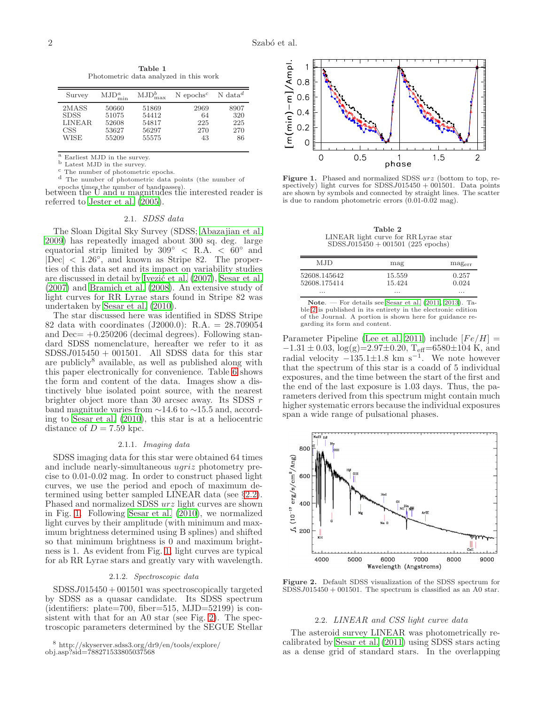<span id="page-1-0"></span>Table 1 Photometric data analyzed in this work

| Survey                                         | $\text{MJD}_{\text{min}}^a$               | $MJD_{\max}^b$                            | N epochs <sup><math>c</math></sup> | N data <sup><math>d</math></sup> |
|------------------------------------------------|-------------------------------------------|-------------------------------------------|------------------------------------|----------------------------------|
| 2MASS<br><b>SDSS</b><br>LINEAR.<br>CSS<br>WISE | 50660<br>51075<br>52608<br>53627<br>55209 | 51869<br>54412<br>54817<br>56297<br>55575 | 2969<br>64<br>225<br>270<br>43     | 8907<br>320<br>225<br>270<br>86  |

 $^{\rm a}$  Earliest MJD in the survey.

<sup>b</sup> Latest MJD in the survey.

 $\frac{c}{d}$  The number of photometric epochs.

The number of photometric data points (the number of

epochs times the number of bandpasses). between the U and u magnitudes the interested reader is referred to [Jester et al. \(2005](#page-6-7)).

# 2.1. *SDSS data*

The Sloan Digital Sky Survey (SDSS; [Abazajian et al.](#page-6-8) [2009\)](#page-6-8) has repeatedly imaged about 300 sq. deg. large equatorial strip limited by 309◦ < R.A. < 60◦ and  $|\text{Dec}|$  < 1.26 $\degree$ , and known as Stripe 82. The properties of this data set and its impact on variability studies are discussed in detail by Ivezi $\tilde{c}$  et al. (2007), [Sesar et al.](#page-6-9) [\(2007\)](#page-6-9) and [Bramich et al. \(2008\)](#page-6-10). An extensive study of light curves for RR Lyrae stars found in Stripe 82 was undertaken by [Sesar et al. \(2010\)](#page-6-11).

The star discussed here was identified in SDSS Stripe 82 data with coordinates (J2000.0): R.A. = 28.709054 and  $Dec= +0.250206$  (decimal degrees). Following standard SDSS nomenclature, hereafter we refer to it as  $SDSSJ015450 + 001501$ . All SDSS data for this star are publicly<sup>8</sup> available, as well as published along with this paper electronically for convenience. Table [6](#page-7-0) shows the form and content of the data. Images show a distinctively blue isolated point source, with the nearest brighter object more than 30 arcsec away. Its SDSS r band magnitude varies from ∼14.6 to ∼15.5 and, according to [Sesar et al. \(2010\)](#page-6-11), this star is at a heliocentric distance of  $D = 7.59$  kpc.

## 2.1.1. Imaging data

SDSS imaging data for this star were obtained 64 times and include nearly-simultaneous ugriz photometry precise to 0.01-0.02 mag. In order to construct phased light curves, we use the period and epoch of maximum determined using better sampled LINEAR data (see §[2.2\)](#page-1-1). Phased and normalized SDSS urz light curves are shown in Fig. [1.](#page-1-2) Following [Sesar et al. \(2010\)](#page-6-11), we normalized light curves by their amplitude (with minimum and maximum brightness determined using B splines) and shifted so that minimum brightness is 0 and maximum brightness is 1. As evident from Fig. [1,](#page-1-2) light curves are typical for ab RR Lyrae stars and greatly vary with wavelength.

#### 2.1.2. Spectroscopic data

 $SDSSJ015450 + 001501$  was spectroscopically targeted by SDSS as a quasar candidate. Its SDSS spectrum (identifiers: plate=700, fiber=515, MJD=52199) is consistent with that for an A0 star (see Fig. [2\)](#page-1-3). The spectroscopic parameters determined by the SEGUE Stellar



<span id="page-1-2"></span>Figure 1. Phased and normalized SDSS  $urz$  (bottom to top, respectively) light curves for  $SDSSJ015450 + 001501$ . Data points are shown by symbols and connected by straight lines. The scatter is due to random photometric errors (0.01-0.02 mag).

<span id="page-1-4"></span>Table 2 LINEAR light curve for RR Lyrae star SDSSJ015450 + 001501 (225 epochs)

| MJD                          | mag              | mag <sub>err</sub> |
|------------------------------|------------------|--------------------|
| 52608.145642<br>52608.175414 | 15.559<br>15.424 | 0.257<br>0.024     |
| .                            | $\cdots$         | $\cdots$           |

Note. — For details see [Sesar et al. \(2011,](#page-6-12) [2013](#page-6-13)). Table [2](#page-1-4) is published in its entirety in the electronic edition of the Journal. A portion is shown here for guidance regarding its form and content.

Parameter Pipeline [\(Lee et al. 2011\)](#page-6-14) include  $[Fe/H] =$  $-1.31 \pm 0.03$ ,  $\log(g) = 2.97 \pm 0.20$ ,  $T_{\text{eff}} = 6580 \pm 104$  K, and radial velocity  $-135.1 \pm 1.8$  km s<sup>-1</sup>. We note however that the spectrum of this star is a coadd of 5 individual exposures, and the time between the start of the first and the end of the last exposure is 1.03 days. Thus, the parameters derived from this spectrum might contain much higher systematic errors because the individual exposures span a wide range of pulsational phases.



Figure 2. Default SDSS visualization of the SDSS spectrum for  $SDSSJ015450 + 001501$ . The spectrum is classified as an A0 star.

## <span id="page-1-3"></span>2.2. *LINEAR and CSS light curve data*

<span id="page-1-1"></span>The asteroid survey LINEAR was photometrically recalibrated by [Sesar et al. \(2011](#page-6-12)) using SDSS stars acting as a dense grid of standard stars. In the overlapping

<sup>8</sup> http://skyserver.sdss3.org/dr9/en/tools/explore/ obj.asp?sid=788271533805037568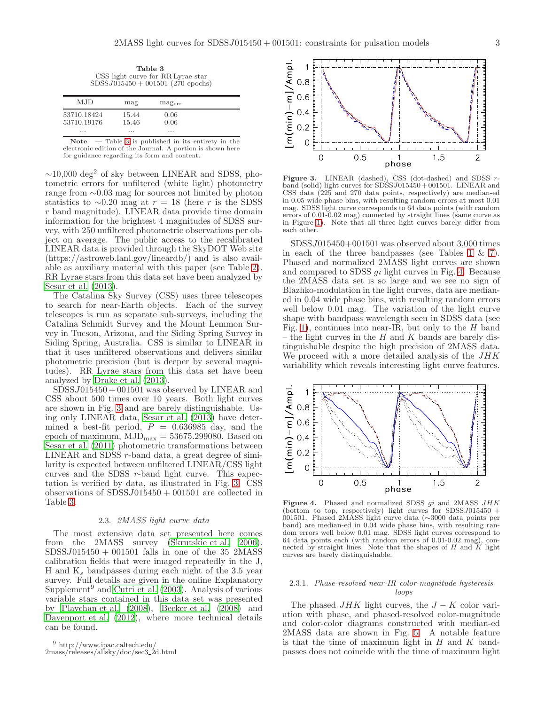<span id="page-2-0"></span>Table 3 CSS light curve for RR Lyrae star SDSSJ015450 + 001501 (270 epochs)

| MJD                        | mag            | $mag_{err}$  |  |
|----------------------------|----------------|--------------|--|
| 53710.18424<br>53710.19176 | 15.44<br>15.46 | 0.06<br>0.06 |  |
| $\cdots$                   | .              | .            |  |

Note. — Table [3](#page-2-0) is published in its entirety in the electronic edition of the Journal. A portion is shown here for guidance regarding its form and content.

 $\sim$ 10,000 deg<sup>2</sup> of sky between LINEAR and SDSS, photometric errors for unfiltered (white light) photometry range from ∼0.03 mag for sources not limited by photon statistics to ~0.20 mag at  $r = 18$  (here r is the SDSS  $r$  band magnitude). LINEAR data provide time domain information for the brightest 4 magnitudes of SDSS survey, with 250 unfiltered photometric observations per object on average. The public access to the recalibrated LINEAR data is provided through the SkyDOT Web site (https://astroweb.lanl.gov/lineardb/) and is also available as auxiliary material with this paper (see Table [2\)](#page-1-4). RR Lyrae stars from this data set have been analyzed by [Sesar et al. \(2013](#page-6-13)).

The Catalina Sky Survey (CSS) uses three telescopes to search for near-Earth objects. Each of the survey telescopes is run as separate sub-surveys, including the Catalina Schmidt Survey and the Mount Lemmon Survey in Tucson, Arizona, and the Siding Spring Survey in Siding Spring, Australia. CSS is similar to LINEAR in that it uses unfiltered observations and delivers similar photometric precision (but is deeper by several magnitudes). RR Lyrae stars from this data set have been analyzed by [Drake et al. \(2013](#page-6-15)).

SDSSJ015450 + 001501 was observed by LINEAR and CSS about 500 times over 10 years. Both light curves are shown in Fig. [3](#page-2-1) and are barely distinguishable. Using only LINEAR data, [Sesar et al. \(2013\)](#page-6-13) have determined a best-fit period,  $P = 0.636985$  day, and the epoch of maximum,  $MJD_{max} = 53675.299080$ . Based on [Sesar et al. \(2011\)](#page-6-12) photometric transformations between LINEAR and SDSS r-band data, a great degree of similarity is expected between unfiltered LINEAR/CSS light curves and the SDSS r-band light curve. This expectation is verified by data, as illustrated in Fig. [3.](#page-2-1) CSS observations of SDSSJ015450 + 001501 are collected in Table [3.](#page-2-0)

# 2.3. *2MASS light curve data*

The most extensive data set presented here comes from the 2MASS survey [\(Skrutskie et al. 2006\)](#page-6-16).  $SDSSJ015450 + 001501$  falls in one of the 35 2MASS calibration fields that were imaged repeatedly in the J,  $H$  and  $K_s$  bandpasses during each night of the 3.5 year survey. Full details are given in the online Explanatory Supplement<sup>9</sup> and Cutri et al.  $(2003)$ . Analysis of various variable stars contained in this data set was presented by [Plavchan et al. \(2008\)](#page-6-18), [Becker et al. \(2008](#page-6-19)) and [Davenport et al. \(2012\)](#page-6-20), where more technical details can be found.

<sup>9</sup> http://www.ipac.caltech.edu/ 2mass/releases/allsky/doc/sec3 2d.html



<span id="page-2-1"></span>Figure 3. LINEAR (dashed), CSS (dot-dashed) and SDSS  $r$ band (solid) light curves for  $SDSSJ015450+001501$ . LINEAR and CSS data (225 and 270 data points, respectively) are median-ed in 0.05 wide phase bins, with resulting random errors at most 0.01 mag. SDSS light curve corresponds to 64 data points (with random errors of 0.01-0.02 mag) connected by straight lines (same curve as in Figure [1\)](#page-1-2). Note that all three light curves barely differ from each other.

 $SDSSJ015450+001501$  was observed about 3,000 times in each of the three bandpasses (see Tables [1](#page-1-0) & [7\)](#page-7-1). Phased and normalized 2MASS light curves are shown and compared to SDSS gi light curves in Fig. [4.](#page-2-2) Because the 2MASS data set is so large and we see no sign of Blazhko-modulation in the light curves, data are medianed in 0.04 wide phase bins, with resulting random errors well below 0.01 mag. The variation of the light curve shape with bandpass wavelength seen in SDSS data (see Fig. [1\)](#page-1-2), continues into near-IR, but only to the  $H$  band – the light curves in the H and K bands are barely distinguishable despite the high precision of 2MASS data. We proceed with a more detailed analysis of the  $JHK$ variability which reveals interesting light curve features.



<span id="page-2-2"></span>Figure 4. Phased and normalized SDSS gi and 2MASS JHK (bottom to top, respectively) light curves for SDSSJ015450 + 001501. Phased 2MASS light curve data (∼3000 data points per band) are median-ed in 0.04 wide phase bins, with resulting random errors well below 0.01 mag. SDSS light curves correspond to 64 data points each (with random errors of 0.01-0.02 mag), connected by straight lines. Note that the shapes of  $H$  and  $\widetilde{K}$  light curves are barely distinguishable.

#### 2.3.1. Phase-resolved near-IR color-magnitude hysteresis loops

The phased  $JHK$  light curves, the  $J - K$  color variation with phase, and phased-resolved color-magnitude and color-color diagrams constructed with median-ed 2MASS data are shown in Fig. [5.](#page-3-0) A notable feature is that the time of maximum light in  $H$  and  $K$  bandpasses does not coincide with the time of maximum light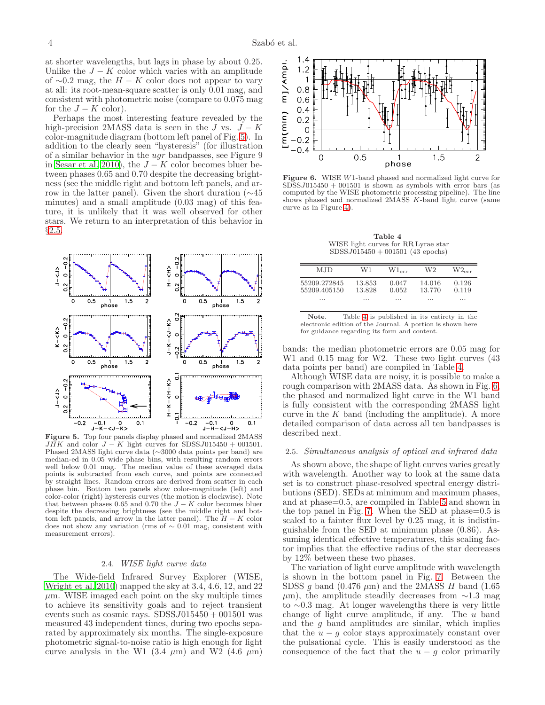at shorter wavelengths, but lags in phase by about 0.25. Unlike the  $J - K$  color which varies with an amplitude of ∼0.2 mag, the  $H - K$  color does not appear to vary at all: its root-mean-square scatter is only 0.01 mag, and consistent with photometric noise (compare to 0.075 mag for the  $J - K$  color).

Perhaps the most interesting feature revealed by the high-precision 2MASS data is seen in the J vs.  $J - K$ color-magnitude diagram (bottom left panel of Fig. [5\)](#page-3-0). In addition to the clearly seen "hysteresis" (for illustration of a similar behavior in the  $ugr$  bandpasses, see Figure 9 in [Sesar et al. 2010\)](#page-6-11), the  $J - K$  color becomes bluer between phases 0.65 and 0.70 despite the decreasing brightness (see the middle right and bottom left panels, and arrow in the latter panel). Given the short duration (∼45 minutes) and a small amplitude (0.03 mag) of this feature, it is unlikely that it was well observed for other stars. We return to an interpretation of this behavior in §[2.5.](#page-3-1)



<span id="page-3-0"></span>Figure 5. Top four panels display phased and normalized 2MASS  $JHK$  and color  $J-K$  light curves for SDSSJ015450 + 001501. Phased 2MASS light curve data (∼3000 data points per band) are median-ed in 0.05 wide phase bins, with resulting random errors well below 0.01 mag. The median value of these averaged data points is subtracted from each curve, and points are connected by straight lines. Random errors are derived from scatter in each phase bin. Bottom two panels show color-magnitude (left) and color-color (right) hysteresis curves (the motion is clockwise). Note that between phases 0.65 and 0.70 the  $J - K$  color becomes bluer despite the decreasing brightness (see the middle right and bottom left panels, and arrow in the latter panel). The  $H - K$  color does not show any variation (rms of  $\sim 0.01$  mag, consistent with measurement errors).

### 2.4. *WISE light curve data*

The Wide-field Infrared Survey Explorer (WISE, [Wright et al. 2010\)](#page-6-21) mapped the sky at 3.4, 4.6, 12, and 22  $\mu$ m. WISE imaged each point on the sky multiple times to achieve its sensitivity goals and to reject transient events such as cosmic rays.  $SDSSJ015450 + 001501$  was measured 43 independent times, during two epochs separated by approximately six months. The single-exposure photometric signal-to-noise ratio is high enough for light curve analysis in the W1 (3.4  $\mu$ m) and W2 (4.6  $\mu$ m)



<span id="page-3-3"></span>Figure 6. WISE W1-band phased and normalized light curve for  $SDSSJ015450 + 001501$  is shown as symbols with error bars (as computed by the WISE photometric processing pipeline). The line shows phased and normalized 2MASS K-band light curve (same curve as in Figure [4\)](#page-2-2).

<span id="page-3-2"></span>Table 4 WISE light curves for RR Lyrae star  $SDSSJ015450 + 001501 (43 \text{ epochs})$ 

| MJD                          | W1               | $W1_{err}$     | W2               | $W2_{\rm err}$ |
|------------------------------|------------------|----------------|------------------|----------------|
| 55209.272845<br>55209.405150 | 13.853<br>13.828 | 0.047<br>0.052 | 14.016<br>13.770 | 0.126<br>0.119 |
|                              | $\cdots$         | .              | .                | .              |

Note. — Table [4](#page-3-2) is published in its entirety in the electronic edition of the Journal. A portion is shown here for guidance regarding its form and content.

bands: the median photometric errors are 0.05 mag for W1 and 0.15 mag for W2. These two light curves (43 data points per band) are compiled in Table [4.](#page-3-2)

Although WISE data are noisy, it is possible to make a rough comparison with 2MASS data. As shown in Fig. [6,](#page-3-3) the phased and normalized light curve in the W1 band is fully consistent with the corresponding 2MASS light curve in the  $K$  band (including the amplitude). A more detailed comparison of data across all ten bandpasses is described next.

# <span id="page-3-1"></span>2.5. *Simultaneous analysis of optical and infrared data*

As shown above, the shape of light curves varies greatly with wavelength. Another way to look at the same data set is to construct phase-resolved spectral energy distributions (SED). SEDs at minimum and maximum phases, and at phase=0.5, are compiled in Table [5](#page-5-0) and shown in the top panel in Fig. [7.](#page-4-0) When the SED at phase=0.5 is scaled to a fainter flux level by 0.25 mag, it is indistinguishable from the SED at minimum phase (0.86). Assuming identical effective temperatures, this scaling factor implies that the effective radius of the star decreases by 12% between these two phases.

The variation of light curve amplitude with wavelength is shown in the bottom panel in Fig. [7.](#page-4-0) Between the SDSS g band (0.476  $\mu$ m) and the 2MASS H band (1.65  $\mu$ m), the amplitude steadily decreases from ∼1.3 mag to ∼0.3 mag. At longer wavelengths there is very little change of light curve amplitude, if any. The  $u$  band and the  $q$  band amplitudes are similar, which implies that the  $u - q$  color stays approximately constant over the pulsational cycle. This is easily understood as the consequence of the fact that the  $u - g$  color primarily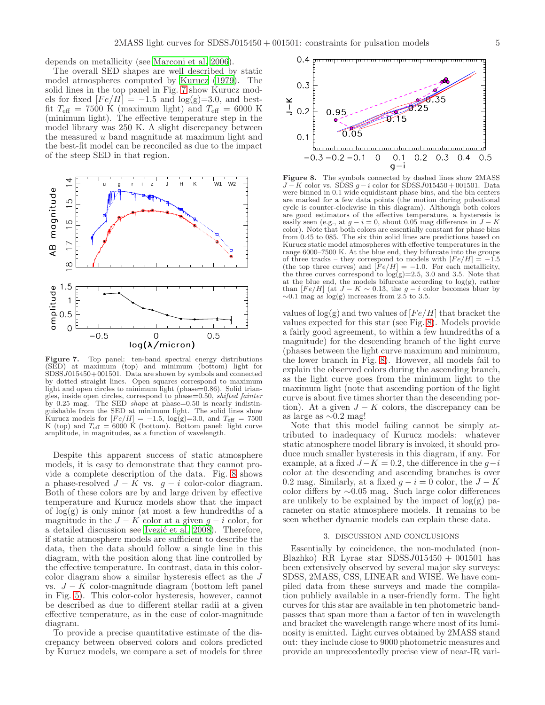depends on metallicity (see [Marconi et al. 2006\)](#page-6-22).

The overall SED shapes are well described by static model atmospheres computed by [Kurucz \(1979\)](#page-6-23). The solid lines in the top panel in Fig. [7](#page-4-0) show Kurucz models for fixed  $[Fe/H] = -1.5$  and  $log(g)=3.0$ , and bestfit  $T_{\text{eff}} = 7500 \text{ K}$  (maximum light) and  $T_{\text{eff}} = 6000 \text{ K}$ (minimum light). The effective temperature step in the model library was 250 K. A slight discrepancy between the measured  $u$  band magnitude at maximum light and the best-fit model can be reconciled as due to the impact of the steep SED in that region.



<span id="page-4-0"></span>Figure 7. Top panel: ten-band spectral energy distributions (SED) at maximum (top) and minimum (bottom) light for SDSSJ015450+001501. Data are shown by symbols and connected by dotted straight lines. Open squares correspond to maximum light and open circles to minimum light (phase=0.86). Solid triangles, inside open circles, correspond to phase=0.50, shifted fainter by 0.25 mag. The SED shape at phase=0.50 is nearly indistinguishable from the SED at minimum light. The solid lines show Kurucz models for  $[Fe/H] = -1.5$ ,  $\log(g)=3.0$ , and  $T_{\text{eff}} = 7500$ K (top) and  $T_{\text{eff}} = 6000$  K (bottom). Bottom panel: light curve amplitude, in magnitudes, as a function of wavelength.

Despite this apparent success of static atmosphere models, it is easy to demonstrate that they cannot provide a complete description of the data. Fig. [8](#page-4-1) shows a phase-resolved  $J - K$  vs.  $g - i$  color-color diagram. Both of these colors are by and large driven by effective temperature and Kurucz models show that the impact of  $log(g)$  is only minor (at most a few hundredths of a magnitude in the  $J - K$  color at a given  $q - i$  color, for a detailed discussion see Ivezić et al. 2008). Therefore, if static atmosphere models are sufficient to describe the data, then the data should follow a single line in this diagram, with the position along that line controlled by the effective temperature. In contrast, data in this colorcolor diagram show a similar hysteresis effect as the J vs.  $J - K$  color-magnitude diagram (bottom left panel in Fig. [5\)](#page-3-0). This color-color hysteresis, however, cannot be described as due to different stellar radii at a given effective temperature, as in the case of color-magnitude diagram.

To provide a precise quantitative estimate of the discrepancy between observed colors and colors predicted by Kurucz models, we compare a set of models for three



<span id="page-4-1"></span>Figure 8. The symbols connected by dashed lines show 2MASS  $J-K$  color vs. SDSS  $g-i$  color for SDSSJ015450 + 001501. Data were binned in 0.1 wide equidistant phase bins, and the bin centers are marked for a few data points (the motion during pulsational cycle is counter-clockwise in this diagram). Although both colors are good estimators of the effective temperature, a hysteresis is easily seen (e.g., at  $g - i = 0$ , about 0.05 mag difference in  $J - K$ color). Note that both colors are essentially constant for phase bins from 0.45 to 085. The six thin solid lines are predictions based on Kurucz static model atmospheres with effective temperatures in the range 6000–7500 K. At the blue end, they bifurcate into the groups of three tracks – they correspond to models with  $[Fe/H] = -1.5$ (the top three curves) and  $[Fe/H] = -1.0$ . For each metallicity, the three curves correspond to  $log(g)=2.5$ , 3.0 and 3.5. Note that at the blue end, the models bifurcate according to  $log(g)$ , rather than  $[Fe/H]$  (at  $J - K \sim 0.13$ , the  $g - i$  color becomes bluer by  $\sim$ 0.1 mag as log(g) increases from 2.5 to 3.5.

values of  $log(g)$  and two values of  $[Fe/H]$  that bracket the values expected for this star (see Fig. [8\)](#page-4-1). Models provide a fairly good agreement, to within a few hundredths of a magnitude) for the descending branch of the light curve (phases between the light curve maximum and minimum, the lower branch in Fig. [8\)](#page-4-1). However, all models fail to explain the observed colors during the ascending branch, as the light curve goes from the minimum light to the maximum light (note that ascending portion of the light curve is about five times shorter than the descending portion). At a given  $J - K$  colors, the discrepancy can be as large as ∼0.2 mag!

Note that this model failing cannot be simply attributed to inadequacy of Kurucz models: whatever static atmosphere model library is invoked, it should produce much smaller hysteresis in this diagram, if any. For example, at a fixed  $J - K = 0.2$ , the difference in the  $q-i$ color at the descending and ascending branches is over 0.2 mag. Similarly, at a fixed  $q - i = 0$  color, the  $J - K$ color differs by ∼0.05 mag. Such large color differences are unlikely to be explained by the impact of  $log(g)$  parameter on static atmosphere models. It remains to be seen whether dynamic models can explain these data.

# 3. DISCUSSION AND CONCLUSIONS

Essentially by coincidence, the non-modulated (non-Blazhko) RR Lyrae star SDSS $J015450 + 001501$  has been extensively observed by several major sky surveys: SDSS, 2MASS, CSS, LINEAR and WISE. We have compiled data from these surveys and made the compilation publicly available in a user-friendly form. The light curves for this star are available in ten photometric bandpasses that span more than a factor of ten in wavelength and bracket the wavelength range where most of its luminosity is emitted. Light curves obtained by 2MASS stand out: they include close to 9000 photometric measures and provide an unprecedentedly precise view of near-IR vari-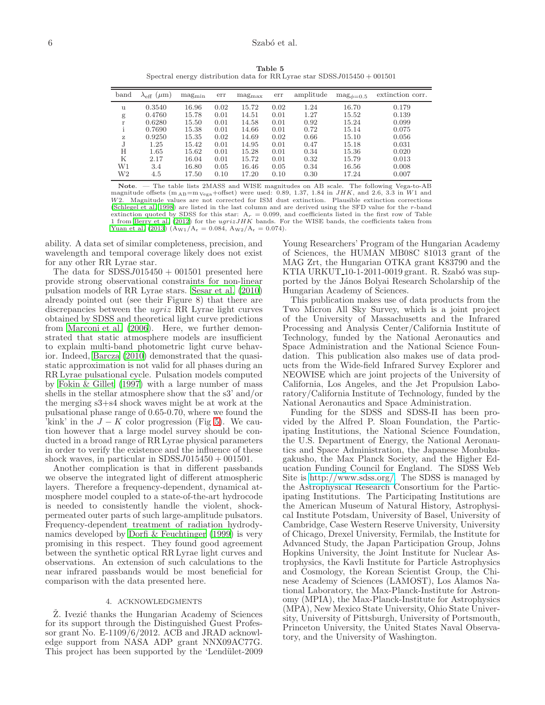Table 5 Spectral energy distribution data for RR Lyrae star SDSSJ015450 + 001501

<span id="page-5-0"></span>

| band                            | $(\mu m)$<br>$\lambda_{\text{eff}}$                            | $mag_{\text{min}}$                                          | err                                                  | $mag_{max}$                                                 | err                                                  | amplitude                                            | $mag_{\phi=0.5}$                                            | extinction corr.                                            |
|---------------------------------|----------------------------------------------------------------|-------------------------------------------------------------|------------------------------------------------------|-------------------------------------------------------------|------------------------------------------------------|------------------------------------------------------|-------------------------------------------------------------|-------------------------------------------------------------|
| u<br>g<br>r<br>i<br>Ζ<br>J<br>H | 0.3540<br>0.4760<br>0.6280<br>0.7690<br>0.9250<br>1.25<br>1.65 | 16.96<br>15.78<br>15.50<br>15.38<br>15.35<br>15.42<br>15.62 | 0.02<br>0.01<br>0.01<br>0.01<br>0.02<br>0.01<br>0.01 | 15.72<br>14.51<br>14.58<br>14.66<br>14.69<br>14.95<br>15.28 | 0.02<br>0.01<br>0.01<br>0.01<br>0.02<br>0.01<br>0.01 | 1.24<br>1.27<br>0.92<br>0.72<br>0.66<br>0.47<br>0.34 | 16.70<br>15.52<br>15.24<br>15.14<br>15.10<br>15.18<br>15.36 | 0.179<br>0.139<br>0.099<br>0.075<br>0.056<br>0.031<br>0.020 |
| Κ<br>W1<br>W2                   | 2.17<br>3.4<br>4.5                                             | 16.04<br>16.80<br>17.50                                     | 0.01<br>0.05<br>0.10                                 | 15.72<br>16.46<br>17.20                                     | 0.01<br>0.05<br>0.10                                 | 0.32<br>0.34<br>0.30                                 | 15.79<br>16.56<br>17.24                                     | 0.013<br>0.008<br>0.007                                     |
|                                 |                                                                |                                                             |                                                      |                                                             |                                                      |                                                      |                                                             |                                                             |

Note. — The table lists 2MASS and WISE magnitudes on AB scale. The following Vega-to-AB magnitude offsets (m<sub>AB</sub>=m<sub>Vega</sub>+offset) were used: 0.89, 1.37, 1.84 in  $JHK$ , and 2.6, 3.3 in W1 and W2. Magnitude values are not corrected for ISM dust extinction. Plausible extinction corrections [\(Schlegel et al. 1998\)](#page-6-25) are listed in the last column and are derived using the SFD value for the r-band extinction quoted by SDSS for this star:  $A_r = 0.099$ , and coefficients listed in the first row of Table 1 from [Berry et al. \(2012\)](#page-6-26) for the  $ugrizJHK$  bands. For the WISE bands, the coefficients taken from [Yuan et al. \(2013\)](#page-6-27)  $(A_{W1}/A_r = 0.084, A_{W2}/A_r = 0.074)$ .

ability. A data set of similar completeness, precision, and wavelength and temporal coverage likely does not exist for any other RR Lyrae star.

The data for  $SDSSJ015450 + 001501$  presented here provide strong observational constraints for non-linear pulsation models of RR Lyrae stars. [Sesar et al. \(2010](#page-6-11)) already pointed out (see their Figure 8) that there are discrepancies between the ugriz RR Lyrae light curves obtained by SDSS and theoretical light curve predictions from [Marconi et al. \(2006](#page-6-22)). Here, we further demonstrated that static atmosphere models are insufficient to explain multi-band photometric light curve behavior. Indeed, [Barcza \(2010\)](#page-6-28) demonstrated that the quasistatic approximation is not valid for all phases during an RR Lyrae pulsational cycle. Pulsation models computed by [Fokin & Gillet \(1997\)](#page-6-29) with a large number of mass shells in the stellar atmosphere show that the s3' and/or the merging s3+s4 shock waves might be at work at the pulsational phase range of 0.65-0.70, where we found the 'kink' in the  $J - K$  color progression (Fig [5\)](#page-3-0). We caution however that a large model survey should be conducted in a broad range of RR Lyrae physical parameters in order to verify the existence and the influence of these shock waves, in particular in  $SDSSJ015450 + 001501$ .

Another complication is that in different passbands we observe the integrated light of different atmospheric layers. Therefore a frequency-dependent, dynamical atmosphere model coupled to a state-of-the-art hydrocode is needed to consistently handle the violent, shockpermeated outer parts of such large-amplitude pulsators. Frequency-dependent treatment of radiation hydrodynamics developed by [Dorfi & Feuchtinger \(1999\)](#page-6-3) is very promising in this respect. They found good agreement between the synthetic optical RR Lyrae light curves and observations. An extension of such calculations to the near infrared passbands would be most beneficial for comparison with the data presented here.

## 4. ACKNOWLEDGMENTS

 $Z$ . Ivezić thanks the Hungarian Academy of Sciences for its support through the Distinguished Guest Professor grant No. E-1109/6/2012. ACB and JRAD acknowledge support from NASA ADP grant NNX09AC77G. This project has been supported by the 'Lendület-2009

Young Researchers' Program of the Hungarian Academy of Sciences, the HUMAN MB08C 81013 grant of the MAG Zrt, the Hungarian OTKA grant K83790 and the KTIA URKUT  $10$ -1-2011-0019 grant. R. Szabó was supported by the J´anos Bolyai Research Scholarship of the Hungarian Academy of Sciences.

This publication makes use of data products from the Two Micron All Sky Survey, which is a joint project of the University of Massachusetts and the Infrared Processing and Analysis Center/California Institute of Technology, funded by the National Aeronautics and Space Administration and the National Science Foundation. This publication also makes use of data products from the Wide-field Infrared Survey Explorer and NEOWISE which are joint projects of the University of California, Los Angeles, and the Jet Propulsion Laboratory/California Institute of Technology, funded by the National Aeronautics and Space Administration.

Funding for the SDSS and SDSS-II has been provided by the Alfred P. Sloan Foundation, the Participating Institutions, the National Science Foundation, the U.S. Department of Energy, the National Aeronautics and Space Administration, the Japanese Monbukagakusho, the Max Planck Society, and the Higher Education Funding Council for England. The SDSS Web Site is [http://www.sdss.org/.](http://www.sdss.org/) The SDSS is managed by the Astrophysical Research Consortium for the Participating Institutions. The Participating Institutions are the American Museum of Natural History, Astrophysical Institute Potsdam, University of Basel, University of Cambridge, Case Western Reserve University, University of Chicago, Drexel University, Fermilab, the Institute for Advanced Study, the Japan Participation Group, Johns Hopkins University, the Joint Institute for Nuclear Astrophysics, the Kavli Institute for Particle Astrophysics and Cosmology, the Korean Scientist Group, the Chinese Academy of Sciences (LAMOST), Los Alamos National Laboratory, the Max-Planck-Institute for Astronomy (MPIA), the Max-Planck-Institute for Astrophysics (MPA), New Mexico State University, Ohio State University, University of Pittsburgh, University of Portsmouth, Princeton University, the United States Naval Observatory, and the University of Washington.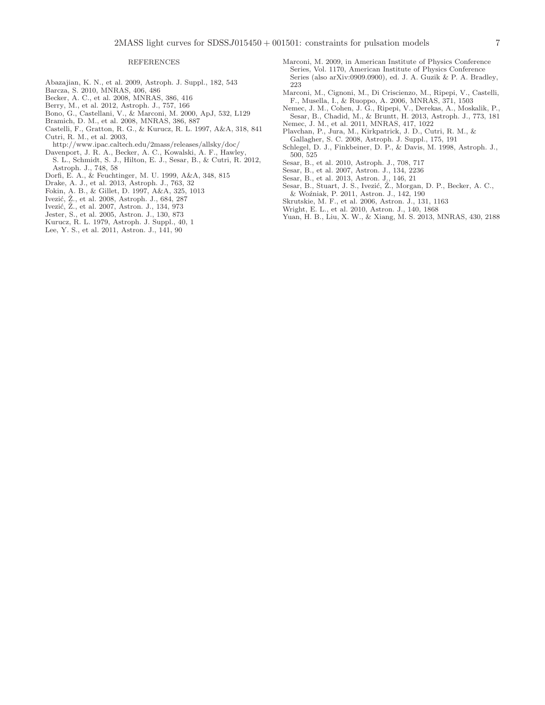#### REFERENCES

- <span id="page-6-8"></span>Abazajian, K. N., et al. 2009, Astroph. J. Suppl., 182, 543
- <span id="page-6-28"></span>Barcza, S. 2010, MNRAS, 406, 486
- <span id="page-6-19"></span>Becker, A. C., et al. 2008, MNRAS, 386, 416
- <span id="page-6-26"></span>Berry, M., et al. 2012, Astroph. J., 757, 166
- <span id="page-6-1"></span>Bono, G., Castellani, V., & Marconi, M. 2000, ApJ, 532, L129
- <span id="page-6-10"></span>Bramich, D. M., et al. 2008, MNRAS, 386, 887
- <span id="page-6-17"></span><span id="page-6-2"></span>Castelli, F., Gratton, R. G., & Kurucz, R. L. 1997, A&A, 318, 841 Cutri, R. M., et al. 2003,
- http://www.ipac.caltech.edu/2mass/releases/allsky/doc/
- <span id="page-6-20"></span>Davenport, J. R. A., Becker, A. C., Kowalski, A. F., Hawley,
- S. L., Schmidt, S. J., Hilton, E. J., Sesar, B., & Cutri, R. 2012, Astroph. J., 748, 58
- <span id="page-6-3"></span>Dorfi, E. A., & Feuchtinger, M. U. 1999, A&A, 348, 815
- <span id="page-6-15"></span>Drake, A. J., et al. 2013, Astroph. J., 763, 32
- <span id="page-6-29"></span>Fokin, A. B., & Gillet, D. 1997, A&A, 325, 1013
- <span id="page-6-24"></span>Ivezić, Ž., et al. 2008, Astroph. J., 684, 287
- <span id="page-6-6"></span>Ivezić, Ž., et al. 2007, Astron. J., 134, 973
- <span id="page-6-7"></span>Jester, S., et al. 2005, Astron. J., 130, 873
- <span id="page-6-23"></span>Kurucz, R. L. 1979, Astroph. J. Suppl., 40, 1
- <span id="page-6-14"></span>Lee, Y. S., et al. 2011, Astron. J., 141, 90
- <span id="page-6-0"></span>Marconi, M. 2009, in American Institute of Physics Conference Series, Vol. 1170, American Institute of Physics Conference Series (also arXiv:0909.0900), ed. J. A. Guzik & P. A. Bradley, 223
- <span id="page-6-22"></span>Marconi, M., Cignoni, M., Di Criscienzo, M., Ripepi, V., Castelli, F., Musella, I., & Ruoppo, A. 2006, MNRAS, 371, 1503
- <span id="page-6-5"></span>Nemec, J. M., Cohen, J. G., Ripepi, V., Derekas, A., Moskalik, P., Sesar, B., Chadid, M., & Bruntt, H. 2013, Astroph. J., 773, 181 Nemec, J. M., et al. 2011, MNRAS, 417, 1022
- <span id="page-6-4"></span>
- <span id="page-6-18"></span>Plavchan, P., Jura, M., Kirkpatrick, J. D., Cutri, R. M., & Gallagher, S. C. 2008, Astroph. J. Suppl., 175, 191
- <span id="page-6-25"></span>Schlegel, D. J., Finkbeiner, D. P., & Davis, M. 1998, Astroph. J., 500, 525
- <span id="page-6-11"></span>Sesar, B., et al. 2010, Astroph. J., 708, 717
- <span id="page-6-9"></span>Sesar, B., et al. 2007, Astron. J., 134, 2236
- <span id="page-6-13"></span>Sesar, B., et al. 2013, Astron. J., 146, 21
- <span id="page-6-12"></span>Sesar, B., Stuart, J. S., Ivezić, Ž., Morgan, D. P., Becker, A. C., & Wo´zniak, P. 2011, Astron. J., 142, 190
- <span id="page-6-16"></span>Skrutskie, M. F., et al. 2006, Astron. J., 131, 1163
- <span id="page-6-21"></span>Wright, E. L., et al. 2010, Astron. J., 140, 1868
- <span id="page-6-27"></span>Yuan, H. B., Liu, X. W., & Xiang, M. S. 2013, MNRAS, 430, 2188